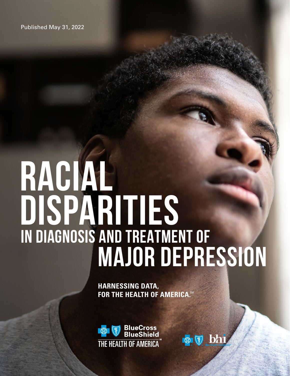Published May 31, 2022

## **RACIAL DISPARITIES IN DIAGNOSIS AND TREATMENT OF MAJOR DEPRESSION**

**HARNESSING DATA, FOR THE HEALTH OF AMERICA.SM** 



 $\bullet$   $\heartsuit$  bh

**1**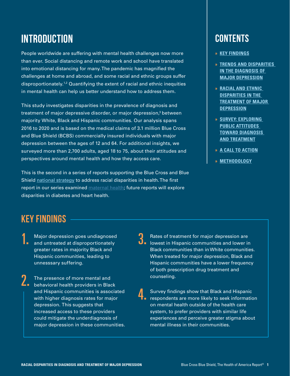## **INTRODUCTION**

People worldwide are suffering with mental health challenges now more than ever. Social distancing and remote work and school have translated into emotional distancing for many. The pandemic has magnified the challenges at home and abroad, and some racial and ethnic groups suffer disproportionately.1,2 Quantifying the extent of racial and ethnic inequities in mental health can help us better understand how to address them.

This study investigates disparities in the prevalence of diagnosis and treatment of major depressive disorder, or major depression, $^3$  between  $\,$ majority White, Black and Hispanic communities. Our analysis spans 2016 to 2020 and is based on the medical claims of 3.1 million Blue Cross and Blue Shield (BCBS) commercially insured individuals with major depression between the ages of 12 and 64. For additional insights, we surveyed more than 2,700 adults, aged 18 to 75, about their attitudes and perspectives around mental health and how they access care.

This is the second in a series of reports supporting the Blue Cross and Blue Shield [national strategy](https://www.bcbs.com/the-health-of-america/healthequity/strategy) to address racial disparities in health. The first report in our series examined [maternal health](https://www.bcbs.com/the-health-of-america/reports/racial-disparities-in-maternal-health); future reports will explore disparities in diabetes and heart health.

## **CONTENTS**

- **» KEY FINDINGS**
- **» [TRENDS AND DISPARITIES](#page-2-0)  [IN THE DIAGNOSIS OF](#page-2-0)  [MAJOR DEPRESSION](#page-2-0)**
- **» [RACIAL AND ETHNIC](#page-3-0)  [DISPARITIES IN THE](#page-3-0)  [TREATMENT OF MAJOR](#page-3-0)  [DEPRESSION](#page-3-0)**
- **» [SURVEY](#page-5-0): EXPLORING PUBLIC ATTITUDES TOWARD DIAGNOSIS AND TREATMENT**
- **» [A CALL TO ACTION](#page-6-0)**
- **» [METHODOLOGY](#page-7-0)**

- Major depression goes undiagnosed Major depression goes undiagnosed<br>
and untreated at disproportionately greater rates in majority Black and Hispanic communities, leading to unnesssary suffering.
- **EXERUTINGS**<br> **EXERCISE AND THE SET AND AND THE SET AND AND THE SET AND THE SET AND TRANSITY OF A THE SPACE OF THE SPACE OF THE SPACE AND THE SPACE AND THE SPACE AND THE SPACE AND THE SPACE OF THE SPACE OF THE SPACE OF THE** The presence of more mental and **2.** The presence of more mental and<br> **2.** behavioral health providers in Black and Hispanic communities is associated with higher diagnosis rates for major depression. This suggests that increased access to these providers could mitigate the underdiagnosis of major depression in these communities.
	- Rates of treatment for major depression are<br>**D** lowest in Hispanic communities and lower in lowest in Hispanic communities and lower in Black communities than in White communities. When treated for major depression, Black and Hispanic communities have a lower frequency of both prescription drug treatment and counseling.
	- **4.** Survey findings show that Black and Hispanic<br>respondents are more likely to seek information Survey findings show that Black and Hispanic on mental health outside of the health care system, to prefer providers with similar life experiences and perceive greater stigma about mental illness in their communities.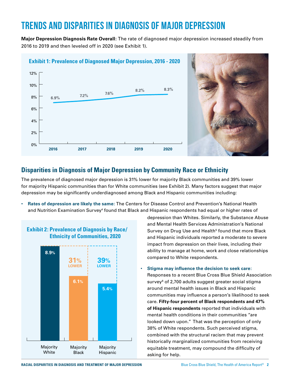## <span id="page-2-0"></span>**TRENDS AND DISPARITIES IN DIAGNOSIS OF MAJOR DEPRESSION**

**Major Depression Diagnosis Rate Overall:** The rate of diagnosed major depression increased steadily from 2016 to 2019 and then leveled off in 2020 (see Exhibit 1).





#### **Disparities in Diagnosis of Major Depression by Community Race or Ethnicity**

The prevalence of diagnosed major depression is 31% lower for majority Black communities and 39% lower for majority Hispanic communities than for White communities (see Exhibit 2). Many factors suggest that major depression may be significantly underdiagnosed among Black and Hispanic communities including:

• **Rates of depression are likely the same:** The Centers for Disease Control and Prevention's National Health and Nutrition Examination Survey<sup>4</sup> found that Black and Hispanic respondents had equal or higher rates of



depression than Whites. Similarly, the Substance Abuse and Mental Health Services Administration's National Survey on Drug Use and Health<sup>5</sup> found that more Black and Hispanic individuals reported a moderate to severe impact from depression on their lives, including their ability to manage at home, work and close relationships compared to White respondents.

• **Stigma may influence the decision to seek care:** 

Responses to a recent Blue Cross Blue Shield Association survey<sup>6</sup> of 2,700 adults suggest greater social stigma around mental health issues in Black and Hispanic communities may influence a person's likelihood to seek care. **Fifty-four percent of Black respondents and 47% of Hispanic respondents** reported that individuals with mental health conditions in their communities "are looked down upon." That was the perception of only 38% of White respondents. Such perceived stigma, combined with the structural racism that may prevent historically marginalized communities from receiving equitable treatment, may compound the difficulty of asking for help.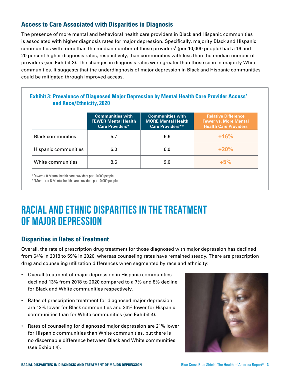#### <span id="page-3-0"></span>**Access to Care Associated with Disparities in Diagnosis**

The presence of more mental and behavioral health care providers in Black and Hispanic communities is associated with higher diagnosis rates for major depression. Specifically, majority Black and Hispanic communities with more than the median number of these providers $^7$  (per 10,000 people) had a 16 and 20 percent higher diagnosis rates, respectively, than communities with less than the median number of providers (see Exhibit 3). The changes in diagnosis rates were greater than those seen in majority White communities. It suggests that the underdiagnosis of major depression in Black and Hispanic communities could be mitigated through improved access.

#### **Exhibit 3: Prevalence of Diagnosed Major Depression by Mental Health Care Provider Access<sup>7</sup> and Race/Ethnicity, 2020**

|                          | <b>Communities with</b><br><b>FEWER Mental Health</b><br><b>Care Providers*</b> | <b>Communities with</b><br><b>MORE Mental Health</b><br><b>Care Providers**</b> | <b>Relative Difference</b><br><b>Fewer vs. More Mental</b><br><b>Health Care Providers</b> |
|--------------------------|---------------------------------------------------------------------------------|---------------------------------------------------------------------------------|--------------------------------------------------------------------------------------------|
| <b>Black communities</b> | 5.7                                                                             | 6.6                                                                             | $+16%$                                                                                     |
| Hispanic communities     | 5.0                                                                             | 6.0                                                                             | $+20%$                                                                                     |
| White communities        | 8.6                                                                             | 9.0                                                                             | $+5%$                                                                                      |

\*Fewer: < 8 Mental health care providers per 10,000 people

\*\*More:  $> = 8$  Mental health care providers per 10,000 people

## **RACIAL AND ETHNIC DISPARITIES IN THE TREATMENT OF MAJOR DEPRESSION**

#### **Disparities in Rates of Treatment**

Overall, the rate of prescription drug treatment for those diagnosed with major depression has declined from 64% in 2018 to 59% in 2020, whereas counseling rates have remained steady. There are prescription drug and counseling utilization differences when segmented by race and ethnicity:

- Overall treatment of major depression in Hispanic communities declined 13% from 2018 to 2020 compared to a 7% and 8% decline for Black and White communities respectively.
- Rates of prescription treatment for diagnosed major depression are 13% lower for Black communities and 33% lower for Hispanic communities than for White communities (see Exhibit 4).
- Rates of counseling for diagnosed major depression are 21% lower for Hispanic communities than White communities, but there is no discernable difference between Black and White communities (see Exhibit 4).

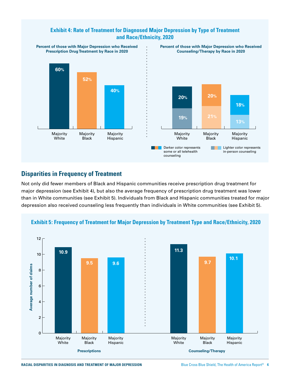#### **Exhibit 4: Rate of Treatment for Diagnosed Major Depression by Type of Treatment and Race/Ethnicity, 2020**



#### **Disparities in Frequency of Treatment**

Not only did fewer members of Black and Hispanic communities receive prescription drug treatment for major depression (see Exhibit 4), but also the average frequency of prescription drug treatment was lower than in White communities (see Exhibit 5). Individuals from Black and Hispanic communities treated for major depression also received counseling less frequently than individuals in White communities (see Exhibit 5).

**Exhibit 5: Frequency of Treatment for Major Depression by Treatment Type and Race/Ethnicity, 2020** 



**RACIAL DISPARITIES IN DIAGNOSIS AND TREATMENT OF MAJOR DEPRESSION** Blue Cross Blue Shield, The Health of America Report® **4**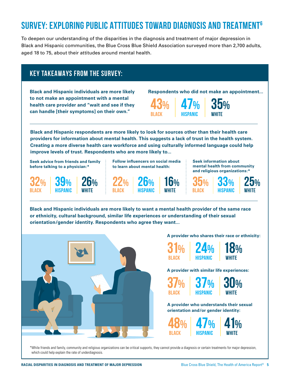## <span id="page-5-0"></span>**SURVEY: EXPLORING PUBLIC ATTITUDES TOWARD DIAGNOSIS AND TREATMENT6**

To deepen our understanding of the disparities in the diagnosis and treatment of major depression in Black and Hispanic communities, the Blue Cross Blue Shield Association surveyed more than 2,700 adults, aged 18 to 75, about their attitudes around mental health.

### **KEY TAKEAWAYS FROM THE SURVEY:**

**Black and Hispanic individuals are more likely to not make an appointment with a mental health care provider and "wait and see if they can handle [their symptoms] on their own."**

> **26% white**

**Respondents who did not make an appointment...**

**43% black 47% hispanic**

> **16% white**



**Black and Hispanic respondents are more likely to look for sources other than their health care providers for information about mental health. This suggests a lack of trust in the health system. Creating a more diverse health care workforce and using culturally informed language could help improve levels of trust. Respondents who are more likely to...**

**Seek advice from friends and family before talking to a physician:\***

> **39% hispanic**

**32% black**

**Follow influencers on social media to learn about mental health:**

> **26% hispanic**

**Seek information about mental health from community and religious organizations:\***



**Black and Hispanic individuals are more likely to want a mental health provider of the same race or ethnicity, cultural background, similar life experiences or understanding of their sexual orientation/gender identity. Respondents who agree they want...**

**22% black**



#### **A provider who shares their race or ethnicity:**



**A provider with similar life experiences:**



**A provider who understands their sexual orientation and/or gender identity:**



\*While friends and family, community and religious organizations can be critical supports, they cannot provide a diagnosis or certain treatments for major depression, which could help explain the rate of underdiagnosis.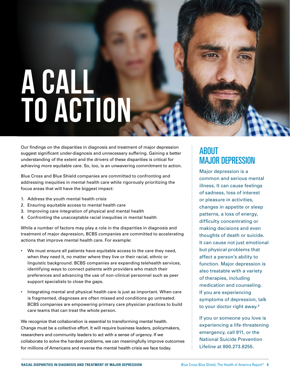# <span id="page-6-0"></span>**A CALL TO ACTION**

Our findings on the disparities in diagnosis and treatment of major depression suggest significant under-diagnosis and unnecessary suffering. Gaining a better understanding of the extent and the drivers of these disparities is critical for achieving more equitable care. So, too, is an unwavering commitment to action.

Blue Cross and Blue Shield companies are committed to confronting and addressing inequities in mental health care while rigorously prioritizing the focus areas that will have the biggest impact:

- 1. Address the youth mental health crisis
- 2. Ensuring equitable access to mental health care
- 3. Improving care integration of physical and mental health
- 4. Confronting the unacceptable racial inequities in mental health

While a number of factors may play a role in the disparities in diagnosis and treatment of major depression, BCBS companies are committed to accelerating actions that improve mental health care. For example:

- We must ensure all patients have equitable access to the care they need, when they need it, no matter where they live or their racial, ethnic or linguistic background. BCBS companies are expanding telehealth services, identifying ways to connect patients with providers who match their preferences and advancing the use of non-clinical personnel such as peer support specialists to close the gaps.
- Integrating mental and physical health care is just as important. When care is fragmented, diagnoses are often missed and conditions go untreated. BCBS companies are empowering primary care physician practices to build care teams that can treat the whole person.

We recognize that collaboration is essential to transforming mental health. Change must be a collective effort. It will require business leaders, policymakers, researchers and community leaders to act with a sense of urgency. If we collaborate to solve the hardest problems, we can meaningfully improve outcomes for millions of Americans and reverse the mental health crisis we face today.

## ABOUT MAJOR DEPRESSION

Major depression is a common and serious mental illness. It can cause feelings of sadness, loss of interest or pleasure in activities, changes in appetite or sleep patterns, a loss of energy, difficulty concentrating or making decisions and even thoughts of death or suicide. It can cause not just emotional but physical problems that affect a person's ability to function. Major depression is also treatable with a variety of therapies, including medication and counseling. If you are experiencing symptoms of depression, talk to your doctor right away.<sup>8</sup>

If you or someone you love is experiencing a life-threatening emergency, call 911, or the National Suicide Prevention Lifeline at 800.273.8255.